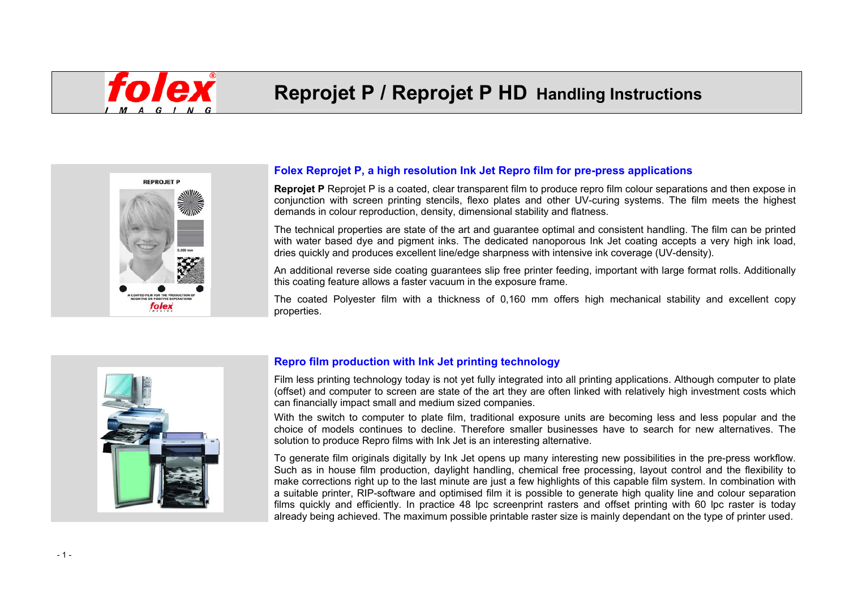# **Reprojet P / Reprojet P HD Handling Instructions**



# **Folex Reprojet P, a high resolution Ink Jet Repro film for pre-press applications**

**Reprojet P** Reprojet P is a coated, clear transparent film to produce repro film colour separations and then expose in conjunction with screen printing stencils, flexo plates and other UV-curing systems. The film meets the highest demands in colour reproduction, density, dimensional stability and flatness.

The technical properties are state of the art and guarantee optimal and consistent handling. The film can be printed with water based dye and pigment inks. The dedicated nanoporous Ink Jet coating accepts a very high ink load, dries quickly and produces excellent line/edge sharpness with intensive ink coverage (UV-density).

An additional reverse side coating guarantees slip free printer feeding, important with large format rolls. Additionally this coating feature allows a faster vacuum in the exposure frame.

The coated Polyester film with a thickness of 0,160 mm offers high mechanical stability and excellent copy properties.



#### **Repro film production with Ink Jet printing technology**

Film less printing technology today is not yet fully integrated into all printing applications. Although computer to plate (offset) and computer to screen are state of the art they are often linked with relatively high investment costs which can financially impact small and medium sized companies.

With the switch to computer to plate film, traditional exposure units are becoming less and less popular and the choice of models continues to decline. Therefore smaller businesses have to search for new alternatives. The solution to produce Repro films with Ink Jet is an interesting alternative.

To generate film originals digitally by Ink Jet opens up many interesting new possibilities in the pre-press workflow. Such as in house film production, daylight handling, chemical free processing, layout control and the flexibility to make corrections right up to the last minute are just a few highlights of this capable film system. In combination with a suitable printer, RIP-software and optimised film it is possible to generate high quality line and colour separation films quickly and efficiently. In practice 48 lpc screenprint rasters and offset printing with 60 lpc raster is today already being achieved. The maximum possible printable raster size is mainly dependant on the type of printer used.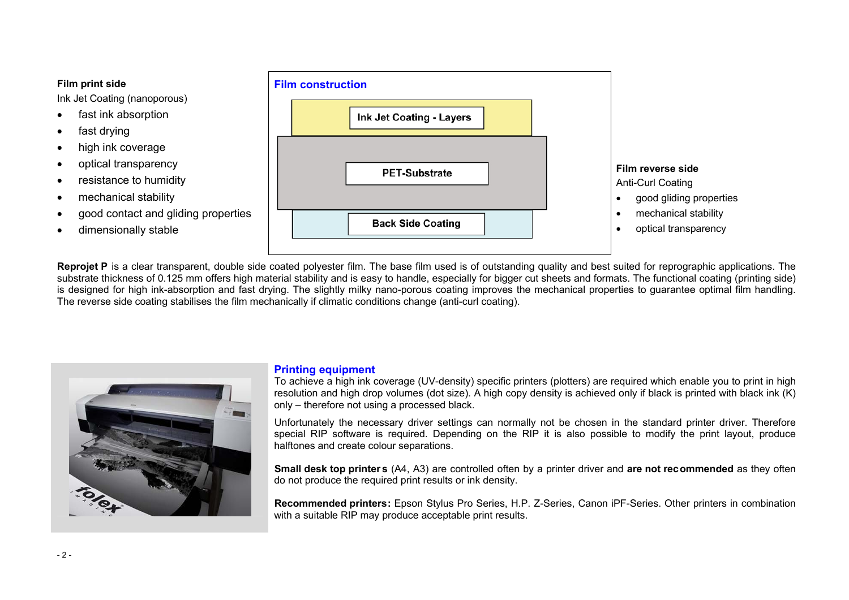#### **Film print side**

Ink Jet Coating (nanoporous)

- fast ink absorption
- fast drying
- high ink coverage
- optical transparency
- resistance to humidity
- mechanical stability
- good contact and gliding properties
- dimensionally stable



**Reprojet P** is a clear transparent, double side coated polyester film. The base film used is of outstanding quality and best suited for reprographic applications. The substrate thickness of 0.125 mm offers high material stability and is easy to handle, especially for bigger cut sheets and formats. The functional coating (printing side) is designed for high ink-absorption and fast drying. The slightly milky nano-porous coating improves the mechanical properties to guarantee optimal film handling. The reverse side coating stabilises the film mechanically if climatic conditions change (anti-curl coating).



#### **Printing equipment**

To achieve a high ink coverage (UV-density) specific printers (plotters) are required which enable you to print in high resolution and high drop volumes (dot size). A high copy density is achieved only if black is printed with black ink (K) only – therefore not using a processed black.

Unfortunately the necessary driver settings can normally not be chosen in the standard printer driver. Therefore special RIP software is required. Depending on the RIP it is also possible to modify the print layout, produce halftones and create colour separations.

**Small desk top printers** (A4, A3) are controlled often by a printer driver and **are not recommended** as they often do not produce the required print results or ink density.

**Recommended printers:** Epson Stylus Pro Series, H.P. Z-Series, Canon iPF-Series. Other printers in combination with a suitable RIP may produce acceptable print results.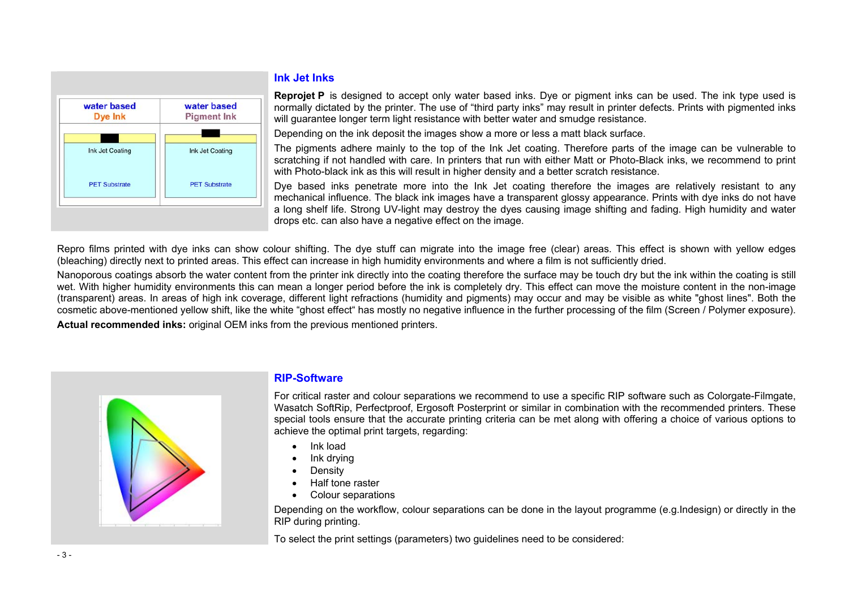

#### **Ink Jet Inks**

**Reprojet P** is designed to accept only water based inks. Dye or pigment inks can be used. The ink type used is normally dictated by the printer. The use of "third party inks" may result in printer defects. Prints with pigmented inks will quarantee longer term light resistance with better water and smudge resistance.

Depending on the ink deposit the images show a more or less a matt black surface.

The pigments adhere mainly to the top of the Ink Jet coating. Therefore parts of the image can be vulnerable to scratching if not handled with care. In printers that run with either Matt or Photo-Black inks, we recommend to print with Photo-black ink as this will result in higher density and a better scratch resistance.

Dye based inks penetrate more into the Ink Jet coating therefore the images are relatively resistant to any mechanical influence. The black ink images have a transparent glossy appearance. Prints with dye inks do not have a long shelf life. Strong UV-light may destroy the dyes causing image shifting and fading. High humidity and water drops etc. can also have a negative effect on the image.

Repro films printed with dye inks can show colour shifting. The dye stuff can migrate into the image free (clear) areas. This effect is shown with yellow edges (bleaching) directly next to printed areas. This effect can increase in high humidity environments and where a film is not sufficiently dried.

Nanoporous coatings absorb the water content from the printer ink directly into the coating therefore the surface may be touch dry but the ink within the coating is still wet. With higher humidity environments this can mean a longer period before the ink is completely dry. This effect can move the moisture content in the non-image (transparent) areas. In areas of high ink coverage, different light refractions (humidity and pigments) may occur and may be visible as white "ghost lines". Both the cosmetic above-mentioned yellow shift, like the white "ghost effect" has mostly no negative influence in the further processing of the film (Screen / Polymer exposure). **Actual recommended inks:** original OEM inks from the previous mentioned printers.



### **RIP-Software**

For critical raster and colour separations we recommend to use a specific RIP software such as Colorgate-Filmgate, Wasatch SoftRip, Perfectproof, Ergosoft Posterprint or similar in combination with the recommended printers. These special tools ensure that the accurate printing criteria can be met along with offering a choice of various options to achieve the optimal print targets, regarding:

- Ink load
- Ink drying
- Density
- Half tone raster
- Colour separations

Depending on the workflow, colour separations can be done in the layout programme (e.g.Indesign) or directly in the RIP during printing.

To select the print settings (parameters) two guidelines need to be considered: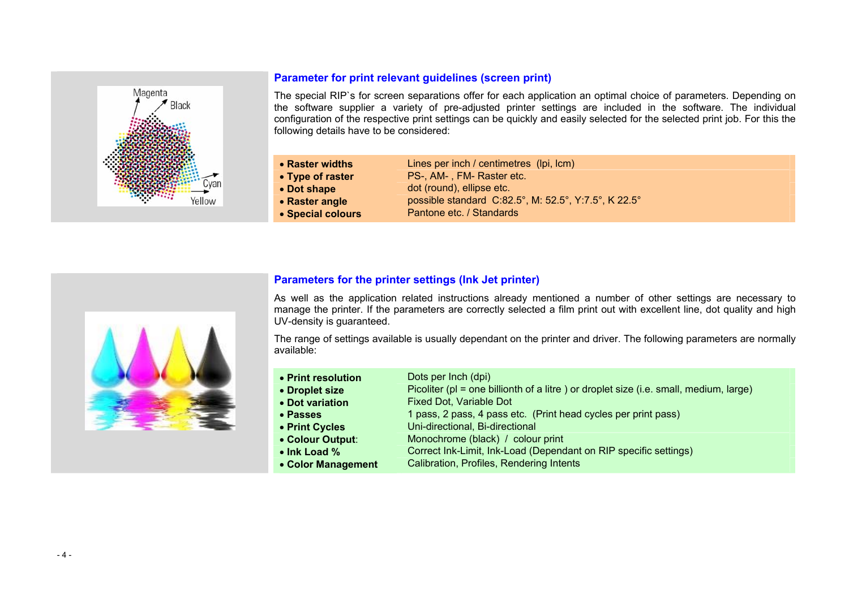

# **Parameter for print relevant guidelines (screen print)**

The special RIP`s for screen separations offer for each application an optimal choice of parameters. Depending on the software supplier a variety of pre-adjusted printer settings are included in the software. The individual configuration of the respective print settings can be quickly and easily selected for the selected print job. For this the following details have to be considered:

| Lines per inch / centimetres (lpi, lcm)              |
|------------------------------------------------------|
| PS-, AM-, FM- Raster etc.                            |
| dot (round), ellipse etc.                            |
| possible standard C:82.5°, M: 52.5°, Y:7.5°, K 22.5° |
| Pantone etc. / Standards                             |
|                                                      |



# **Parameters for the printer settings (Ink Jet printer)**

As well as the application related instructions already mentioned a number of other settings are necessary to manage the printer. If the parameters are correctly selected a film print out with excellent line, dot quality and high UV-density is guaranteed.

The range of settings available is usually dependant on the printer and driver. The following parameters are normally available:

| • Print resolution<br>• Droplet size | Dots per Inch (dpi)<br>Picoliter (pl = one billionth of a litre) or droplet size (i.e. small, medium, large) |
|--------------------------------------|--------------------------------------------------------------------------------------------------------------|
| • Dot variation                      | <b>Fixed Dot, Variable Dot</b>                                                                               |
| • Passes                             | 1 pass, 2 pass, 4 pass etc. (Print head cycles per print pass)                                               |
| • Print Cycles                       | Uni-directional, Bi-directional                                                                              |
| • Colour Output:                     | Monochrome (black) / colour print                                                                            |
| • Ink Load %                         | Correct Ink-Limit, Ink-Load (Dependant on RIP specific settings)                                             |
| • Color Management                   | Calibration, Profiles, Rendering Intents                                                                     |
|                                      |                                                                                                              |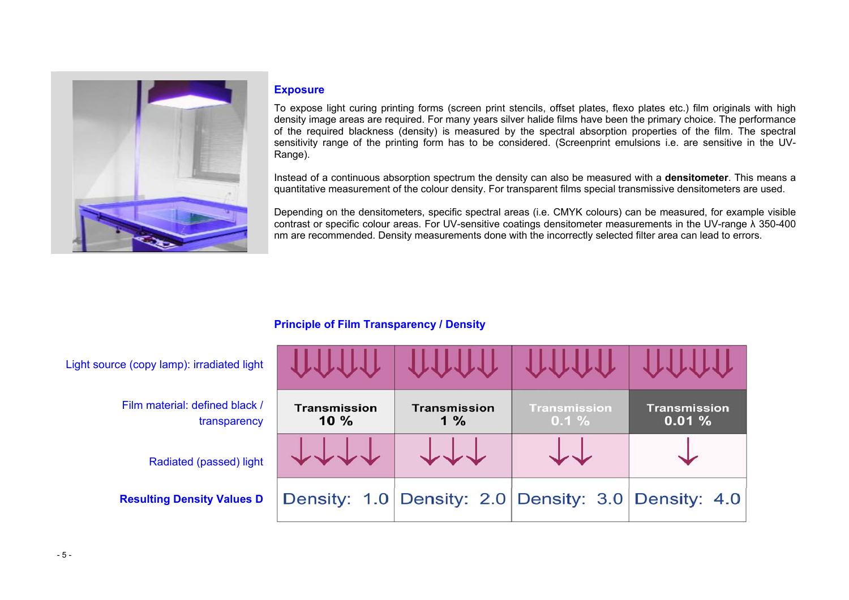

#### **Exposure**

To expose light curing printing forms (screen print stencils, offset plates, flexo plates etc.) film originals with high density image areas are required. For many years silver halide films have been the primary choice. The performance of the required blackness (density) is measured by the spectral absorption properties of the film. The spectral sensitivity range of the printing form has to be considered. (Screenprint emulsions i.e. are sensitive in the UV-Range).

Instead of a continuous absorption spectrum the density can also be measured with a **densitometer**. This means a quantitative measurement of the colour density. For transparent films special transmissive densitometers are used.

Depending on the densitometers, specific spectral areas (i.e. CMYK colours) can be measured, for example visible contrast or specific colour areas. For UV-sensitive coatings densitometer measurements in the UV-range λ 350-400 nm are recommended. Density measurements done with the incorrectly selected filter area can lead to errors.

# **Principle of Film Transparency / Density**

| Light source (copy lamp): irradiated light     |                            |                                                     |                                 |                              |
|------------------------------------------------|----------------------------|-----------------------------------------------------|---------------------------------|------------------------------|
| Film material: defined black /<br>transparency | <b>Transmission</b><br>10% | <b>Transmission</b><br>$1\%$                        | <b>Transmission</b><br>$0.1 \%$ | <b>Transmission</b><br>0.01% |
| Radiated (passed) light                        |                            |                                                     |                                 |                              |
| <b>Resulting Density Values D</b>              |                            | Density: 1.0 Density: 2.0 Density: 3.0 Density: 4.0 |                                 |                              |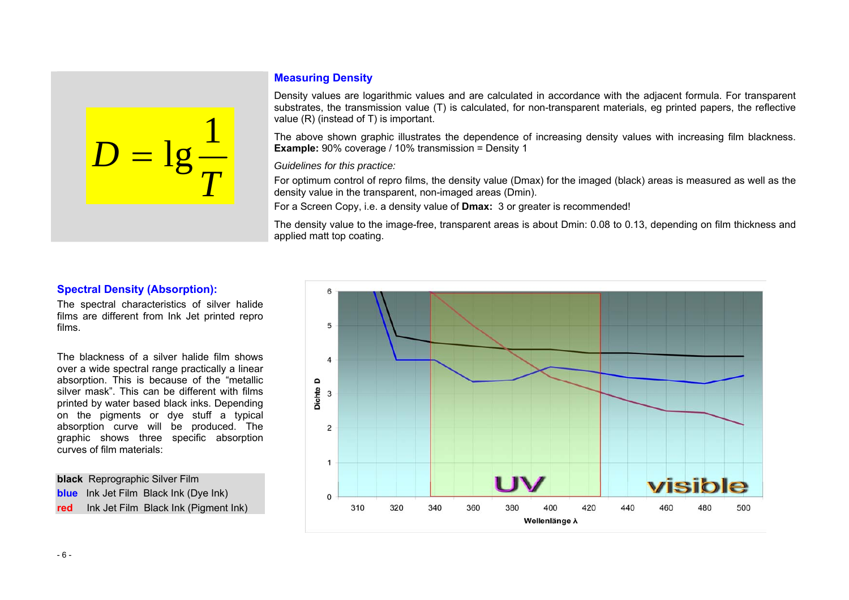

# **Measuring Density**

Density values are logarithmic values and are calculated in accordance with the adjacent formula. For transparent substrates, the transmission value (T) is calculated, for non-transparent materials, eg printed papers, the reflective value (R) (instead of T) is important.

The above shown graphic illustrates the dependence of increasing density values with increasing film blackness. **Example:** 90% coverage / 10% transmission = Density 1

*Guidelines for this practice:* 

For optimum control of repro films, the density value (Dmax) for the imaged (black) areas is measured as well as the density value in the transparent, non-imaged areas (Dmin).

For a Screen Copy, i.e. a density value of **Dmax:** 3 or greater is recommended!

The density value to the image-free, transparent areas is about Dmin: 0.08 to 0.13, depending on film thickness and applied matt top coating.

### **Spectral Density (Absorption):**

The spectral characteristics of silver halide films are different from Ink Jet printed repro films.

The blackness of a silver halide film shows over a wide spectral range practically a linear absorption. This is because of the "metallic silver mask". This can be different with films printed by water based black inks. Depending on the pigments or dye stuff a typical absorption curve will be produced. The graphic shows three specific absorption curves of film materials:

**black** Reprographic Silver Film **blue** Ink Jet Film Black Ink (Dye Ink) **red** Ink Jet Film Black Ink (Pigment Ink)

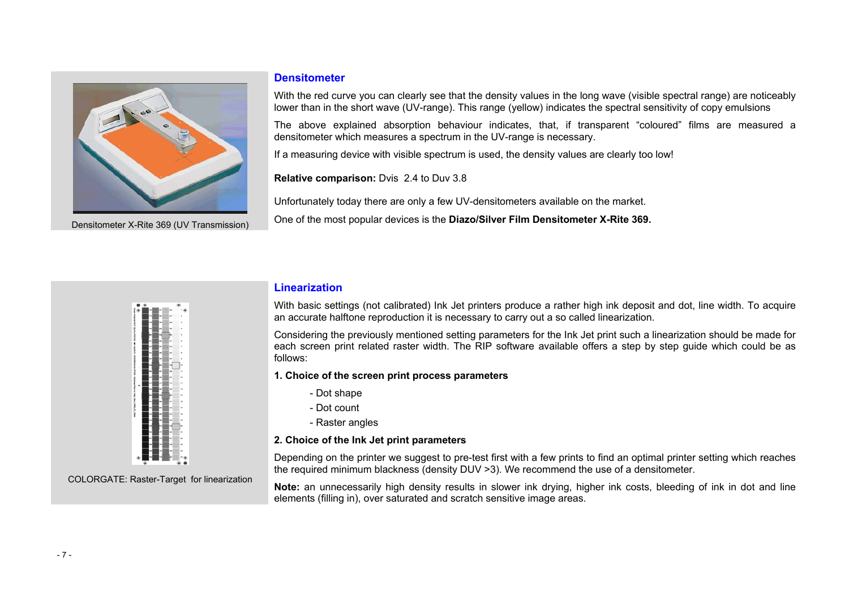

Densitometer X-Rite 369 (UV Transmission)

#### **Densitometer**

With the red curve you can clearly see that the density values in the long wave (visible spectral range) are noticeably lower than in the short wave (UV-range). This range (yellow) indicates the spectral sensitivity of copy emulsions

The above explained absorption behaviour indicates, that, if transparent "coloured" films are measured a densitometer which measures a spectrum in the UV-range is necessary.

If a measuring device with visible spectrum is used, the density values are clearly too low!

**Relative comparison:** Dvis 2.4 to Duv 3.8

Unfortunately today there are only a few UV-densitometers available on the market.

One of the most popular devices is the **Diazo/Silver Film Densitometer X-Rite 369.**



COLORGATE: Raster-Target for linearization

#### **Linearization**

With basic settings (not calibrated) Ink Jet printers produce a rather high ink deposit and dot, line width. To acquire an accurate halftone reproduction it is necessary to carry out a so called linearization.

Considering the previously mentioned setting parameters for the Ink Jet print such a linearization should be made for each screen print related raster width. The RIP software available offers a step by step guide which could be as follows:

#### **1. Choice of the screen print process parameters**

- Dot shape
- Dot count
	- Raster angles

#### **2. Choice of the Ink Jet print parameters**

Depending on the printer we suggest to pre-test first with a few prints to find an optimal printer setting which reaches the required minimum blackness (density DUV >3). We recommend the use of a densitometer.

**Note:** an unnecessarily high density results in slower ink drying, higher ink costs, bleeding of ink in dot and line elements (filling in), over saturated and scratch sensitive image areas.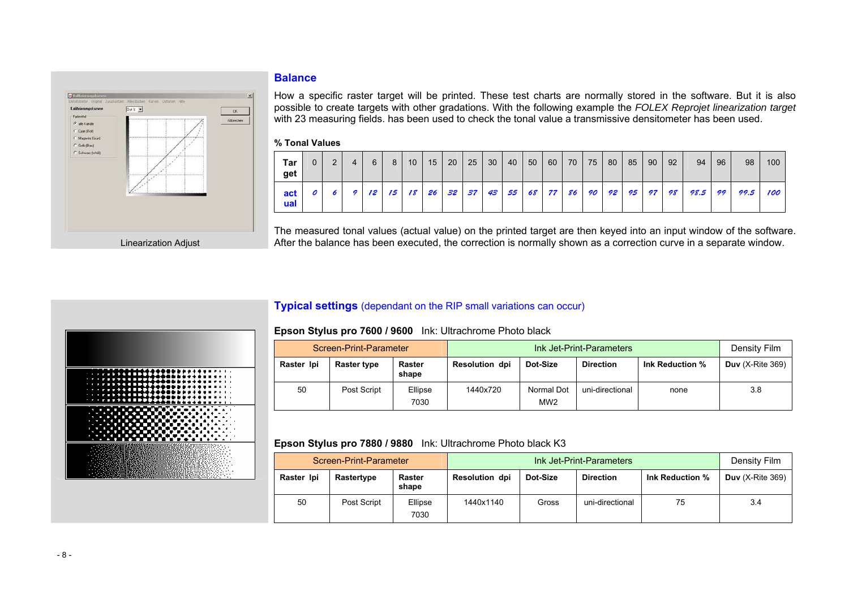## **Balance**



How a specific raster target will be printed. These test charts are normally stored in the software. But it is also possible to create targets with other gradations. With the following example the *FOLEX Reprojet linearization target* with 23 measuring fields. has been used to check the tonal value a transmissive densitometer has been used.

#### **% Tonal Values**

| Tar<br>get | 0 | $\mathcal{P}$ | 4 | 6               | 8  | 10 <sup>°</sup> | 15 | 20    | 25 | 30 <sup>°</sup> | 40   | 50 | 60          | 70 l | 75 | 80 | 85    | 90 | 92 | 94   | 96 | 98   | 100 |
|------------|---|---------------|---|-----------------|----|-----------------|----|-------|----|-----------------|------|----|-------------|------|----|----|-------|----|----|------|----|------|-----|
| act<br>ual |   |               | 9 | 12 <sup>7</sup> | 15 | 18 <sup>1</sup> |    | 26 32 | 37 | 43              | 55 I |    | 68 77 86 90 |      |    |    | 92 95 | 97 | 98 | 98.5 | 99 | 99.5 | 100 |

The measured tonal values (actual value) on the printed target are then keyed into an input window of the software. After the balance has been executed, the correction is normally shown as a correction curve in a separate window.

# **Typical settings** (dependant on the RIP small variations can occur)



|            | Screen-Print-Parameter |                 |                       | Density Film                  |                  |                 |                    |
|------------|------------------------|-----------------|-----------------------|-------------------------------|------------------|-----------------|--------------------|
| Raster Ipi | Raster type            | Raster<br>shape | <b>Resolution dpi</b> | Dot-Size                      | <b>Direction</b> | Ink Reduction % | Duv $(X-Rite 369)$ |
| 50         | Post Script            | Ellipse<br>7030 | 1440x720              | Normal Dot<br>MW <sub>2</sub> | uni-directional  | none            | 3.8                |

#### **Epson Stylus pro 7880 / 9880** Ink: Ultrachrome Photo black K3

|            | Screen-Print-Parameter |                 |                       | Density Film |                  |                 |                    |
|------------|------------------------|-----------------|-----------------------|--------------|------------------|-----------------|--------------------|
| Raster Ipi | Rastertype             | Raster<br>shape | <b>Resolution dpi</b> | Dot-Size     | <b>Direction</b> | Ink Reduction % | Duv $(X-Rite 369)$ |
| 50         | Post Script            | Ellipse<br>7030 | 1440x1140             | Gross        | uni-directional  | 75              | 3.4                |

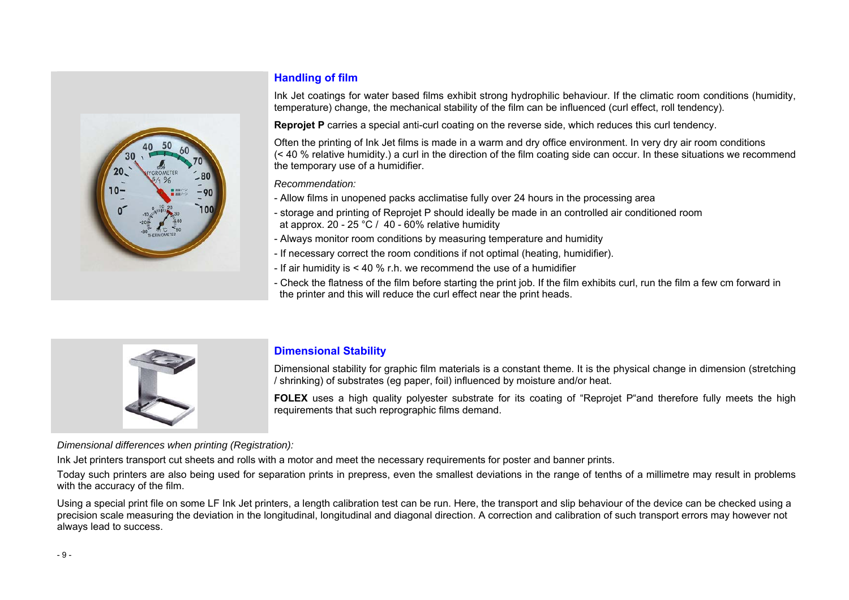

# **Handling of film**

Ink Jet coatings for water based films exhibit strong hydrophilic behaviour. If the climatic room conditions (humidity, temperature) change, the mechanical stability of the film can be influenced (curl effect, roll tendency).

**Reprojet P** carries a special anti-curl coating on the reverse side, which reduces this curl tendency.

Often the printing of Ink Jet films is made in a warm and dry office environment. In very dry air room conditions (< 40 % relative humidity.) a curl in the direction of the film coating side can occur. In these situations we recommend the temporary use of a humidifier.

*Recommendation:* 

- Allow films in unopened packs acclimatise fully over 24 hours in the processing area
- storage and printing of Reprojet P should ideally be made in an controlled air conditioned room at approx. 20 - 25 °C / 40 - 60% relative humidity
- Always monitor room conditions by measuring temperature and humidity
- If necessary correct the room conditions if not optimal (heating, humidifier).
- If air humidity is  $<$  40 % r.h. we recommend the use of a humidifier
- Check the flatness of the film before starting the print job. If the film exhibits curl, run the film a few cm forward in the printer and this will reduce the curl effect near the print heads.



# **Dimensional Stability**

Dimensional stability for graphic film materials is a constant theme. It is the physical change in dimension (stretching / shrinking) of substrates (eg paper, foil) influenced by moisture and/or heat.

**FOLEX** uses a high quality polyester substrate for its coating of "Reprojet P"and therefore fully meets the high requirements that such reprographic films demand.

*Dimensional differences when printing (Registration):* 

Ink Jet printers transport cut sheets and rolls with a motor and meet the necessary requirements for poster and banner prints.

Today such printers are also being used for separation prints in prepress, even the smallest deviations in the range of tenths of a millimetre may result in problems with the accuracy of the film.

Using a special print file on some LF Ink Jet printers, a length calibration test can be run. Here, the transport and slip behaviour of the device can be checked using a precision scale measuring the deviation in the longitudinal, longitudinal and diagonal direction. A correction and calibration of such transport errors may however not always lead to success.